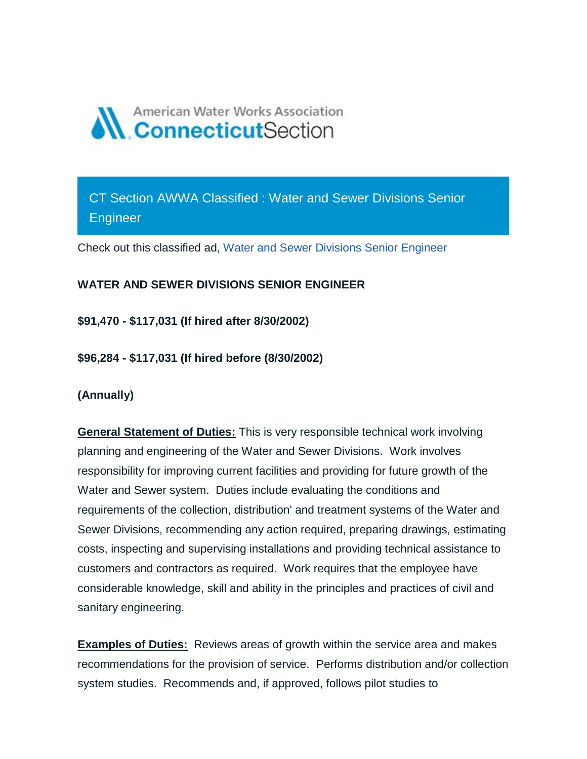

CT Section AWWA Classified : Water and Sewer Divisions Senior **Engineer** 

Check out this classified ad, [Water and Sewer Divisions Senior Engineer](https://ctawwa.org/ad-click.php?record_number=413&url=classifieds.php?record_number=413&source=email)

## **WATER AND SEWER DIVISIONS SENIOR ENGINEER**

**\$91,470 - \$117,031 (If hired after 8/30/2002)**

**\$96,284 - \$117,031 (If hired before (8/30/2002)**

**(Annually)**

**General Statement of Duties:** This is very responsible technical work involving planning and engineering of the Water and Sewer Divisions. Work involves responsibility for improving current facilities and providing for future growth of the Water and Sewer system. Duties include evaluating the conditions and requirements of the collection, distribution' and treatment systems of the Water and Sewer Divisions, recommending any action required, preparing drawings, estimating costs, inspecting and supervising installations and providing technical assistance to customers and contractors as required. Work requires that the employee have considerable knowledge, skill and ability in the principles and practices of civil and sanitary engineering.

**Examples of Duties:** Reviews areas of growth within the service area and makes recommendations for the provision of service. Performs distribution and/or collection system studies. Recommends and, if approved, follows pilot studies to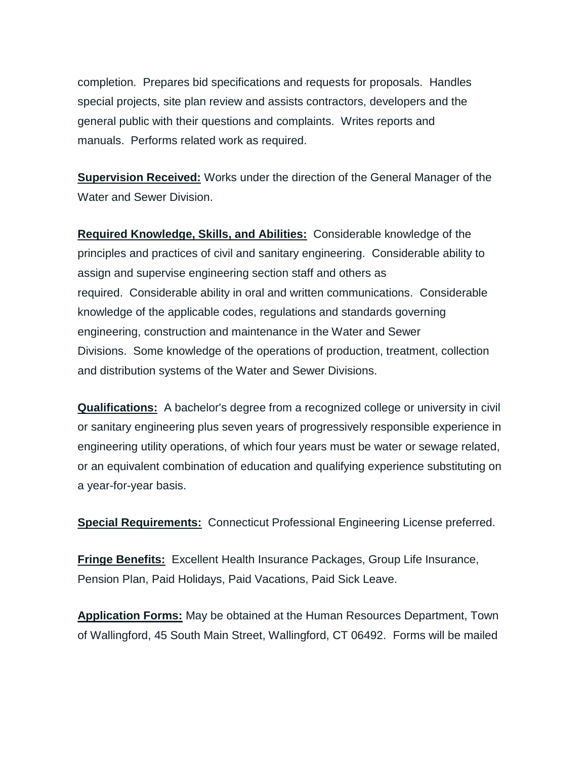completion. Prepares bid specifications and requests for proposals. Handles special projects, site plan review and assists contractors, developers and the general public with their questions and complaints. Writes reports and manuals. Performs related work as required.

**Supervision Received:** Works under the direction of the General Manager of the Water and Sewer Division.

**Required Knowledge, Skills, and Abilities:** Considerable knowledge of the principles and practices of civil and sanitary engineering. Considerable ability to assign and supervise engineering section staff and others as required. Considerable ability in oral and written communications. Considerable knowledge of the applicable codes, regulations and standards governing engineering, construction and maintenance in the Water and Sewer Divisions. Some knowledge of the operations of production, treatment, collection and distribution systems of the Water and Sewer Divisions.

**Qualifications:** A bachelor's degree from a recognized college or university in civil or sanitary engineering plus seven years of progressively responsible experience in engineering utility operations, of which four years must be water or sewage related, or an equivalent combination of education and qualifying experience substituting on a year-for-year basis.

**Special Requirements:** Connecticut Professional Engineering License preferred.

**Fringe Benefits:** Excellent Health Insurance Packages, Group Life Insurance, Pension Plan, Paid Holidays, Paid Vacations, Paid Sick Leave.

**Application Forms:** May be obtained at the Human Resources Department, Town of Wallingford, 45 South Main Street, Wallingford, CT 06492. Forms will be mailed